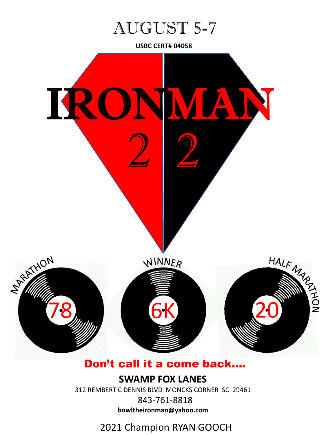

**USBC CERT# 04058**



## Don't call it a come back….

**SWAMP FOX LANES**

312 REMBERT C DENNIS BLVD MONCKS CORNER SC 29461

843-761-8818 **bowltheironman@yahoo.com**

## 2021 Champion RYAN GOOCH